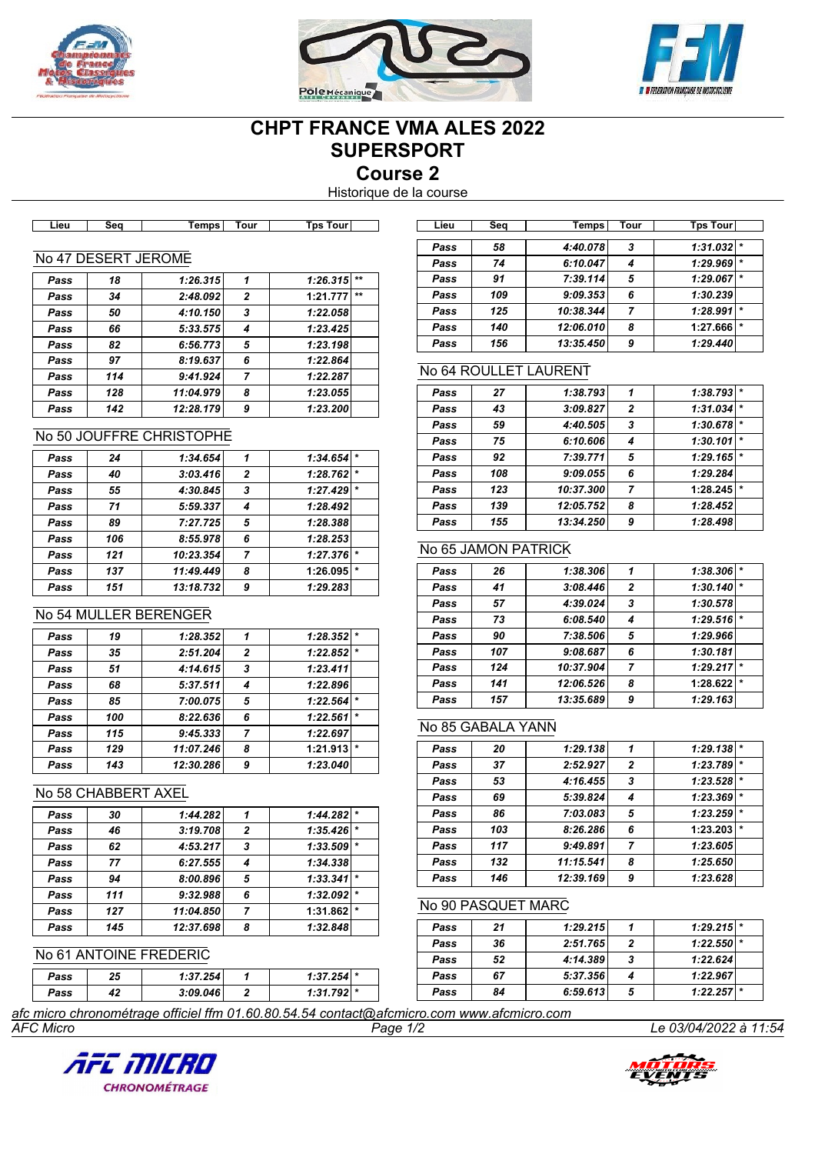





# **CHPT FRANCE VMA ALES 2022 SUPERSPORT**

**Course 2**

Historique de la course

| .ieu | seo | emps | our | וזור<br>-ns |  |
|------|-----|------|-----|-------------|--|
|      |     |      |     |             |  |

## No 47 DESERT JEROME

| Pass | 18  | 1:26.315  | 1              | 1:26.315 | $+ +$ |
|------|-----|-----------|----------------|----------|-------|
| Pass | 34  | 2:48.092  | $\overline{2}$ | 1:21.777 | $**$  |
| Pass | 50  | 4:10.150  | 3              | 1:22.058 |       |
| Pass | 66  | 5:33.575  | 4              | 1:23.425 |       |
| Pass | 82  | 6:56.773  | 5              | 1:23.198 |       |
| Pass | 97  | 8:19.637  | 6              | 1:22.864 |       |
| Pass | 114 | 9:41.924  | 7              | 1:22.287 |       |
| Pass | 128 | 11:04.979 | 8              | 1:23.055 |       |
| Pass | 142 | 12:28.179 | 9              | 1:23.200 |       |
|      |     |           |                |          |       |

# No 50 JOUFFRE CHRISTOPHE

| Pass | 24  | 1:34.654  | 1              | $1:34.654$ * |         |
|------|-----|-----------|----------------|--------------|---------|
| Pass | 40  | 3:03.416  | $\overline{2}$ | $1:28.762$ * |         |
| Pass | 55  | 4:30.845  | 3              | 1:27.429     |         |
| Pass | 71  | 5:59.337  | 4              | 1:28.492     |         |
| Pass | 89  | 7:27.725  | 5              | 1:28.388     |         |
| Pass | 106 | 8:55.978  | 6              | 1:28.253     |         |
| Pass | 121 | 10:23.354 | 7              | 1:27.376     |         |
| Pass | 137 | 11:49.449 | 8              | 1:26.095     | $\star$ |
| Pass | 151 | 13:18.732 | 9              | 1:29.283     |         |
|      |     |           |                |              |         |

# No 54 MULLER BERENGER

| Pass | 19  | 1:28.352  | 1              | 1:28.352 |         |
|------|-----|-----------|----------------|----------|---------|
| Pass | 35  | 2:51.204  | $\overline{2}$ | 1:22.852 | $\star$ |
| Pass | 51  | 4:14.615  | 3              | 1:23.411 |         |
| Pass | 68  | 5:37.511  | 4              | 1:22.896 |         |
| Pass | 85  | 7:00.075  | 5              | 1:22.564 | $\star$ |
| Pass | 100 | 8:22.636  | 6              | 1:22.561 | $\star$ |
| Pass | 115 | 9:45.333  | 7              | 1:22.697 |         |
| Pass | 129 | 11:07.246 | 8              | 1:21.913 | $\star$ |
| Pass | 143 | 12:30.286 | 9              | 1:23.040 |         |

#### No 58 CHABBERT AXEL

| Pass | 30  | 1:44.282  |                | 1:44.282 | $\star$ |
|------|-----|-----------|----------------|----------|---------|
| Pass | 46  | 3:19.708  | $\overline{2}$ | 1:35.426 | $\star$ |
| Pass | 62  | 4:53.217  | 3              | 1:33.509 | $\star$ |
| Pass | 77  | 6:27.555  | 4              | 1:34.338 |         |
| Pass | 94  | 8:00.896  | 5              | 1:33.341 | $\star$ |
| Pass | 111 | 9:32.988  | 6              | 1:32.092 | $\star$ |
| Pass | 127 | 11:04.850 | 7              | 1:31.862 | $\star$ |
| Pass | 145 | 12:37.698 | 8              | 1:32.848 |         |
|      |     |           |                |          |         |

# No 61 ANTOINE FREDERIC

| Pass | 25 | 1:37.254 | $1:37.254$ $*$ |  |
|------|----|----------|----------------|--|
| Pass | 42 | 3:09.046 | 1:31.792 *     |  |
|      |    |          |                |  |

| Lieu | Seq | Temps     | Tour | Tps Tour            |
|------|-----|-----------|------|---------------------|
| Pass | 58  | 4:40.078  | 3    | 1:31.032            |
| Pass | 74  | 6:10.047  |      | 1:29.969<br>$\star$ |
| Pass | 91  | 7:39.114  | 5    | $\ast$<br>1:29.067  |
| Pass | 109 | 9:09.353  | 6    | 1:30.239            |
| Pass | 125 | 10:38.344 |      | $\star$<br>1:28.991 |
| Pass | 140 | 12:06.010 | 8    | $\star$<br>1:27.666 |
| Pass | 156 | 13:35.450 | 9    | 1:29.440            |

# No 64 ROULLET LAURENT

| Pass | 27  | 1:38.793  | 1              | 1:38.793 |         |
|------|-----|-----------|----------------|----------|---------|
| Pass | 43  | 3:09.827  | $\overline{2}$ | 1:31.034 | $\star$ |
| Pass | 59  | 4:40.505  | 3              | 1:30.678 | $\star$ |
| Pass | 75  | 6:10.606  | 4              | 1:30.101 | $\star$ |
| Pass | 92  | 7:39.771  | 5              | 1:29.165 | $\star$ |
| Pass | 108 | 9:09.055  | 6              | 1:29.284 |         |
| Pass | 123 | 10:37.300 | 7              | 1:28.245 | $\star$ |
| Pass | 139 | 12:05.752 | 8              | 1:28.452 |         |
| Pass | 155 | 13:34.250 | 9              | 1:28.498 |         |
|      |     |           |                |          |         |

# No 65 JAMON PATRICK

| Pass | 26  | 1:38.306  | 1              | 1:38.306 |        |
|------|-----|-----------|----------------|----------|--------|
| Pass | 41  | 3:08.446  | $\overline{2}$ | 1:30.140 |        |
| Pass | 57  | 4:39.024  | 3              | 1:30.578 |        |
| Pass | 73  | 6:08.540  | 4              | 1:29.516 | ★      |
| Pass | 90  | 7:38.506  | 5              | 1:29.966 |        |
| Pass | 107 | 9:08.687  | 6              | 1:30.181 |        |
| Pass | 124 | 10:37.904 | 7              | 1:29.217 | $\ast$ |
| Pass | 141 | 12:06.526 | 8              | 1:28.622 | ★      |
| Pass | 157 | 13:35.689 | 9              | 1:29.163 |        |

# No 85 GABALA YANN

| Pass | 20  | 1:29.138  | 1              | 1:29.138 |         |
|------|-----|-----------|----------------|----------|---------|
| Pass | 37  | 2:52.927  | $\overline{2}$ | 1:23.789 | $\star$ |
| Pass | 53  | 4:16.455  | 3              | 1:23.528 | $\ast$  |
| Pass | 69  | 5:39.824  | 4              | 1:23.369 | $\star$ |
| Pass | 86  | 7:03.083  | 5              | 1:23.259 | $\star$ |
| Pass | 103 | 8:26.286  | 6              | 1:23.203 | l *     |
| Pass | 117 | 9:49.891  | 7              | 1:23.605 |         |
| Pass | 132 | 11:15.541 | 8              | 1:25.650 |         |
| Pass | 146 | 12:39.169 | 9              | 1:23.628 |         |
|      |     |           |                |          |         |

#### No 90 PASQUET MARC

| Pass | 21 | 1:29.215 |   | 1:29.215     |  |
|------|----|----------|---|--------------|--|
| Pass | 36 | 2:51.765 |   | $1:22.550$ * |  |
| Pass | 52 | 4:14.389 | 3 | 1:22.624     |  |
| Pass | 67 | 5:37.356 |   | 1:22.967     |  |
| Pass | 84 | 6:59.613 | 5 | $1:22.257$ * |  |

*AFC Micro Page 1/2 Le 03/04/2022 à 11:54 afc micro chronométrage officiel ffm 01.60.80.54.54 contact@afcmicro.com www.afcmicro.com*